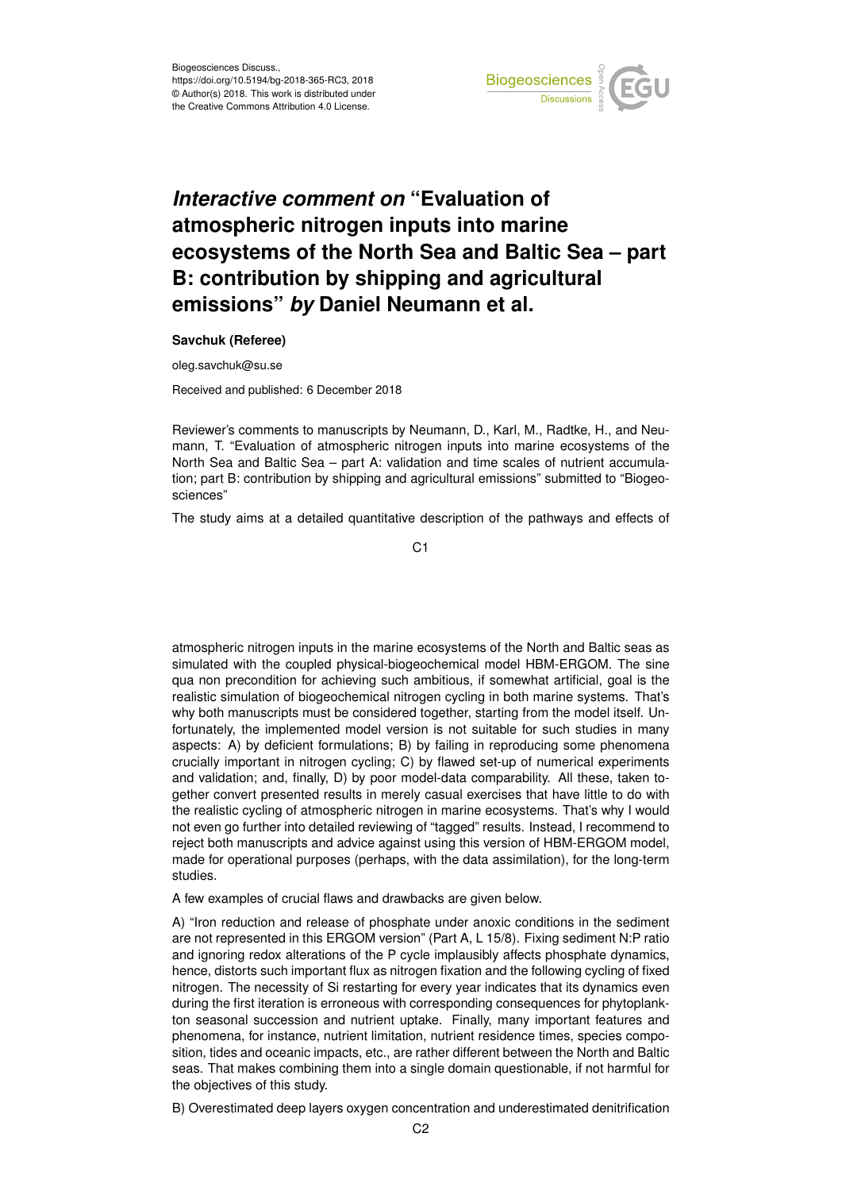

## *Interactive comment on* **"Evaluation of atmospheric nitrogen inputs into marine ecosystems of the North Sea and Baltic Sea – part B: contribution by shipping and agricultural emissions"** *by* **Daniel Neumann et al.**

**Savchuk (Referee)**

oleg.savchuk@su.se

Received and published: 6 December 2018

Reviewer's comments to manuscripts by Neumann, D., Karl, M., Radtke, H., and Neumann, T. "Evaluation of atmospheric nitrogen inputs into marine ecosystems of the North Sea and Baltic Sea – part A: validation and time scales of nutrient accumulation; part B: contribution by shipping and agricultural emissions" submitted to "Biogeosciences"

The study aims at a detailed quantitative description of the pathways and effects of

C1

atmospheric nitrogen inputs in the marine ecosystems of the North and Baltic seas as simulated with the coupled physical-biogeochemical model HBM-ERGOM. The sine qua non precondition for achieving such ambitious, if somewhat artificial, goal is the realistic simulation of biogeochemical nitrogen cycling in both marine systems. That's why both manuscripts must be considered together, starting from the model itself. Unfortunately, the implemented model version is not suitable for such studies in many aspects: A) by deficient formulations; B) by failing in reproducing some phenomena crucially important in nitrogen cycling; C) by flawed set-up of numerical experiments and validation; and, finally, D) by poor model-data comparability. All these, taken together convert presented results in merely casual exercises that have little to do with the realistic cycling of atmospheric nitrogen in marine ecosystems. That's why I would not even go further into detailed reviewing of "tagged" results. Instead, I recommend to reject both manuscripts and advice against using this version of HBM-ERGOM model, made for operational purposes (perhaps, with the data assimilation), for the long-term studies.

A few examples of crucial flaws and drawbacks are given below.

A) "Iron reduction and release of phosphate under anoxic conditions in the sediment are not represented in this ERGOM version" (Part A, L 15/8). Fixing sediment N:P ratio and ignoring redox alterations of the P cycle implausibly affects phosphate dynamics, hence, distorts such important flux as nitrogen fixation and the following cycling of fixed nitrogen. The necessity of Si restarting for every year indicates that its dynamics even during the first iteration is erroneous with corresponding consequences for phytoplankton seasonal succession and nutrient uptake. Finally, many important features and phenomena, for instance, nutrient limitation, nutrient residence times, species composition, tides and oceanic impacts, etc., are rather different between the North and Baltic seas. That makes combining them into a single domain questionable, if not harmful for the objectives of this study.

B) Overestimated deep layers oxygen concentration and underestimated denitrification